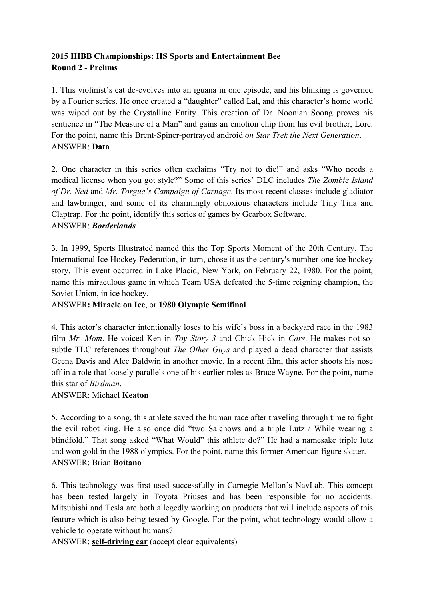## **2015 IHBB Championships: HS Sports and Entertainment Bee Round 2 - Prelims**

1. This violinist's cat de-evolves into an iguana in one episode, and his blinking is governed by a Fourier series. He once created a "daughter" called Lal, and this character's home world was wiped out by the Crystalline Entity. This creation of Dr. Noonian Soong proves his sentience in "The Measure of a Man" and gains an emotion chip from his evil brother, Lore. For the point, name this Brent-Spiner-portrayed android *on Star Trek the Next Generation*. ANSWER: **Data**

2. One character in this series often exclaims "Try not to die!" and asks "Who needs a medical license when you got style?" Some of this series' DLC includes *The Zombie Island of Dr. Ned* and *Mr. Torgue's Campaign of Carnage*. Its most recent classes include gladiator and lawbringer, and some of its charmingly obnoxious characters include Tiny Tina and Claptrap. For the point, identify this series of games by Gearbox Software. ANSWER: *Borderlands*

3. In 1999, Sports Illustrated named this the Top Sports Moment of the 20th Century. The International Ice Hockey Federation, in turn, chose it as the century's number-one ice hockey story. This event occurred in Lake Placid, New York, on February 22, 1980. For the point, name this miraculous game in which Team USA defeated the 5-time reigning champion, the Soviet Union, in ice hockey.

# ANSWER**: Miracle on Ice**, or **1980 Olympic Semifinal**

4. This actor's character intentionally loses to his wife's boss in a backyard race in the 1983 film *Mr. Mom*. He voiced Ken in *Toy Story 3* and Chick Hick in *Cars*. He makes not-sosubtle TLC references throughout *The Other Guys* and played a dead character that assists Geena Davis and Alec Baldwin in another movie. In a recent film, this actor shoots his nose off in a role that loosely parallels one of his earlier roles as Bruce Wayne. For the point, name this star of *Birdman*.

## ANSWER: Michael **Keaton**

5. According to a song, this athlete saved the human race after traveling through time to fight the evil robot king. He also once did "two Salchows and a triple Lutz / While wearing a blindfold." That song asked "What Would" this athlete do?" He had a namesake triple lutz and won gold in the 1988 olympics. For the point, name this former American figure skater. ANSWER: Brian **Boitano**

6. This technology was first used successfully in Carnegie Mellon's NavLab. This concept has been tested largely in Toyota Priuses and has been responsible for no accidents. Mitsubishi and Tesla are both allegedly working on products that will include aspects of this feature which is also being tested by Google. For the point, what technology would allow a vehicle to operate without humans?

ANSWER: **self-driving car** (accept clear equivalents)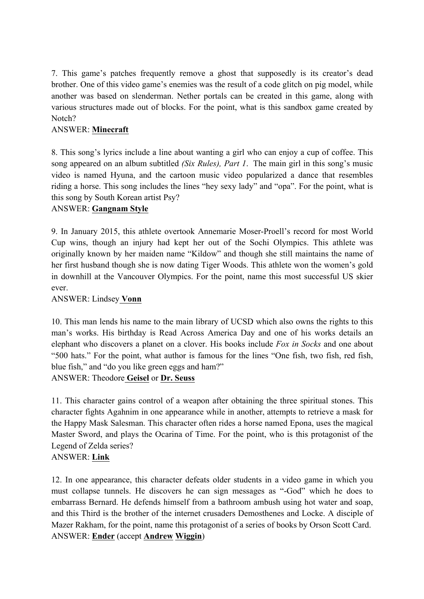7. This game's patches frequently remove a ghost that supposedly is its creator's dead brother. One of this video game's enemies was the result of a code glitch on pig model, while another was based on slenderman. Nether portals can be created in this game, along with various structures made out of blocks. For the point, what is this sandbox game created by Notch?

## ANSWER: **Minecraft**

8. This song's lyrics include a line about wanting a girl who can enjoy a cup of coffee. This song appeared on an album subtitled *(Six Rules), Part 1*. The main girl in this song's music video is named Hyuna, and the cartoon music video popularized a dance that resembles riding a horse. This song includes the lines "hey sexy lady" and "opa". For the point, what is this song by South Korean artist Psy?

#### ANSWER: **Gangnam Style**

9. In January 2015, this athlete overtook Annemarie Moser-Proell's record for most World Cup wins, though an injury had kept her out of the Sochi Olympics. This athlete was originally known by her maiden name "Kildow" and though she still maintains the name of her first husband though she is now dating Tiger Woods. This athlete won the women's gold in downhill at the Vancouver Olympics. For the point, name this most successful US skier ever.

#### ANSWER: Lindsey **Vonn**

10. This man lends his name to the main library of UCSD which also owns the rights to this man's works. His birthday is Read Across America Day and one of his works details an elephant who discovers a planet on a clover. His books include *Fox in Socks* and one about "500 hats." For the point, what author is famous for the lines "One fish, two fish, red fish, blue fish," and "do you like green eggs and ham?"

ANSWER: Theodore **Geisel** or **Dr. Seuss**

11. This character gains control of a weapon after obtaining the three spiritual stones. This character fights Agahnim in one appearance while in another, attempts to retrieve a mask for the Happy Mask Salesman. This character often rides a horse named Epona, uses the magical Master Sword, and plays the Ocarina of Time. For the point, who is this protagonist of the Legend of Zelda series?

#### ANSWER: **Link**

12. In one appearance, this character defeats older students in a video game in which you must collapse tunnels. He discovers he can sign messages as "-God" which he does to embarrass Bernard. He defends himself from a bathroom ambush using hot water and soap, and this Third is the brother of the internet crusaders Demosthenes and Locke. A disciple of Mazer Rakham, for the point, name this protagonist of a series of books by Orson Scott Card. ANSWER: **Ender** (accept **Andrew Wiggin**)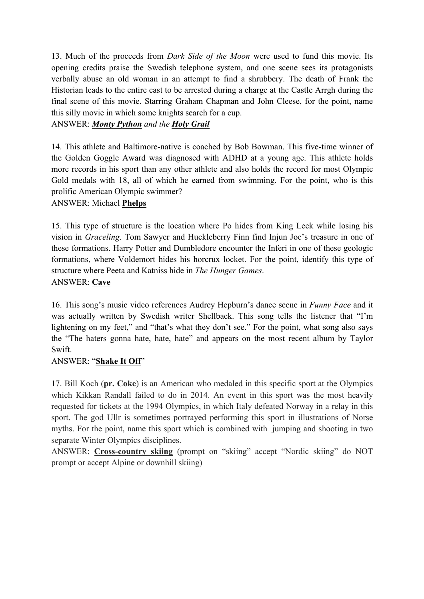13. Much of the proceeds from *Dark Side of the Moon* were used to fund this movie. Its opening credits praise the Swedish telephone system, and one scene sees its protagonists verbally abuse an old woman in an attempt to find a shrubbery. The death of Frank the Historian leads to the entire cast to be arrested during a charge at the Castle Arrgh during the final scene of this movie. Starring Graham Chapman and John Cleese, for the point, name this silly movie in which some knights search for a cup.

## ANSWER: *Monty Python and the Holy Grail*

14. This athlete and Baltimore-native is coached by Bob Bowman. This five-time winner of the Golden Goggle Award was diagnosed with ADHD at a young age. This athlete holds more records in his sport than any other athlete and also holds the record for most Olympic Gold medals with 18, all of which he earned from swimming. For the point, who is this prolific American Olympic swimmer?

## ANSWER: Michael **Phelps**

15. This type of structure is the location where Po hides from King Leck while losing his vision in *Graceling*. Tom Sawyer and Huckleberry Finn find Injun Joe's treasure in one of these formations. Harry Potter and Dumbledore encounter the Inferi in one of these geologic formations, where Voldemort hides his horcrux locket. For the point, identify this type of structure where Peeta and Katniss hide in *The Hunger Games*. ANSWER: **Cave**

16. This song's music video references Audrey Hepburn's dance scene in *Funny Face* and it was actually written by Swedish writer Shellback. This song tells the listener that "I'm lightening on my feet," and "that's what they don't see." For the point, what song also says the "The haters gonna hate, hate, hate" and appears on the most recent album by Taylor Swift.

#### ANSWER: "**Shake It Off**"

17. Bill Koch (**pr. Coke**) is an American who medaled in this specific sport at the Olympics which Kikkan Randall failed to do in 2014. An event in this sport was the most heavily requested for tickets at the 1994 Olympics, in which Italy defeated Norway in a relay in this sport. The god Ullr is sometimes portrayed performing this sport in illustrations of Norse myths. For the point, name this sport which is combined with jumping and shooting in two separate Winter Olympics disciplines.

ANSWER: **Cross-country skiing** (prompt on "skiing" accept "Nordic skiing" do NOT prompt or accept Alpine or downhill skiing)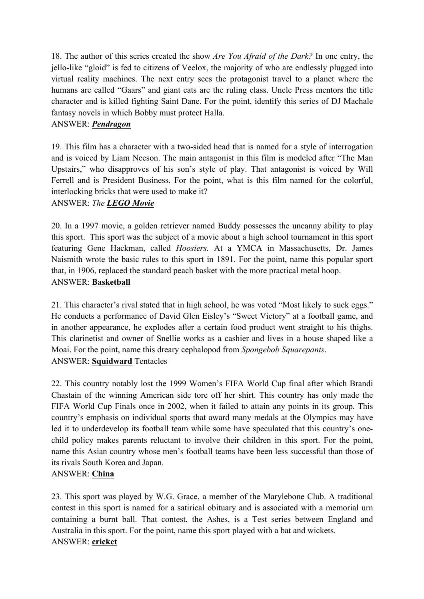18. The author of this series created the show *Are You Afraid of the Dark?* In one entry, the jello-like "gloid" is fed to citizens of Veelox, the majority of who are endlessly plugged into virtual reality machines. The next entry sees the protagonist travel to a planet where the humans are called "Gaars" and giant cats are the ruling class. Uncle Press mentors the title character and is killed fighting Saint Dane. For the point, identify this series of DJ Machale fantasy novels in which Bobby must protect Halla.

## ANSWER: *Pendragon*

19. This film has a character with a two-sided head that is named for a style of interrogation and is voiced by Liam Neeson. The main antagonist in this film is modeled after "The Man Upstairs," who disapproves of his son's style of play. That antagonist is voiced by Will Ferrell and is President Business. For the point, what is this film named for the colorful, interlocking bricks that were used to make it?

### ANSWER: *The LEGO Movie*

20. In a 1997 movie, a golden retriever named Buddy possesses the uncanny ability to play this sport. This sport was the subject of a movie about a high school tournament in this sport featuring Gene Hackman, called *Hoosiers.* At a YMCA in Massachusetts, Dr. James Naismith wrote the basic rules to this sport in 1891. For the point, name this popular sport that, in 1906, replaced the standard peach basket with the more practical metal hoop. ANSWER: **Basketball**

21. This character's rival stated that in high school, he was voted "Most likely to suck eggs." He conducts a performance of David Glen Eisley's "Sweet Victory" at a football game, and in another appearance, he explodes after a certain food product went straight to his thighs. This clarinetist and owner of Snellie works as a cashier and lives in a house shaped like a Moai. For the point, name this dreary cephalopod from *Spongebob Squarepants*. ANSWER: **Squidward** Tentacles

22. This country notably lost the 1999 Women's FIFA World Cup final after which Brandi Chastain of the winning American side tore off her shirt. This country has only made the FIFA World Cup Finals once in 2002, when it failed to attain any points in its group. This country's emphasis on individual sports that award many medals at the Olympics may have led it to underdevelop its football team while some have speculated that this country's onechild policy makes parents reluctant to involve their children in this sport. For the point, name this Asian country whose men's football teams have been less successful than those of its rivals South Korea and Japan.

#### ANSWER: **China**

23. This sport was played by W.G. Grace, a member of the Marylebone Club. A traditional contest in this sport is named for a satirical obituary and is associated with a memorial urn containing a burnt ball. That contest, the Ashes, is a Test series between England and Australia in this sport. For the point, name this sport played with a bat and wickets. ANSWER: **cricket**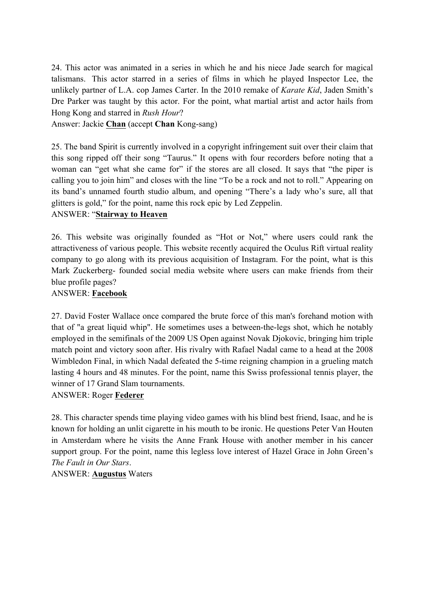24. This actor was animated in a series in which he and his niece Jade search for magical talismans. This actor starred in a series of films in which he played Inspector Lee, the unlikely partner of L.A. cop James Carter. In the 2010 remake of *Karate Kid*, Jaden Smith's Dre Parker was taught by this actor. For the point, what martial artist and actor hails from Hong Kong and starred in *Rush Hour*?

Answer: Jackie **Chan** (accept **Chan** Kong-sang)

25. The band Spirit is currently involved in a copyright infringement suit over their claim that this song ripped off their song "Taurus." It opens with four recorders before noting that a woman can "get what she came for" if the stores are all closed. It says that "the piper is calling you to join him" and closes with the line "To be a rock and not to roll." Appearing on its band's unnamed fourth studio album, and opening "There's a lady who's sure, all that glitters is gold," for the point, name this rock epic by Led Zeppelin.

### ANSWER: "**Stairway to Heaven**

26. This website was originally founded as "Hot or Not," where users could rank the attractiveness of various people. This website recently acquired the Oculus Rift virtual reality company to go along with its previous acquisition of Instagram. For the point, what is this Mark Zuckerberg- founded social media website where users can make friends from their blue profile pages?

### ANSWER: **Facebook**

27. David Foster Wallace once compared the brute force of this man's forehand motion with that of "a great liquid whip". He sometimes uses a between-the-legs shot, which he notably employed in the semifinals of the 2009 US Open against Novak Djokovic, bringing him triple match point and victory soon after. His rivalry with Rafael Nadal came to a head at the 2008 Wimbledon Final, in which Nadal defeated the 5-time reigning champion in a grueling match lasting 4 hours and 48 minutes. For the point, name this Swiss professional tennis player, the winner of 17 Grand Slam tournaments.

#### ANSWER: Roger **Federer**

28. This character spends time playing video games with his blind best friend, Isaac, and he is known for holding an unlit cigarette in his mouth to be ironic. He questions Peter Van Houten in Amsterdam where he visits the Anne Frank House with another member in his cancer support group. For the point, name this legless love interest of Hazel Grace in John Green's *The Fault in Our Stars*.

ANSWER: **Augustus** Waters